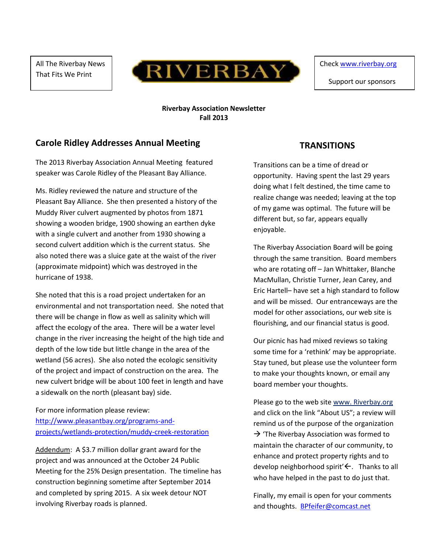All The Riverbay News That Fits We Print



Check [www.riverbay.org](http://www.riverbay.org/)

Support our sponsors

#### **Riverbay Association Newsletter Fall 2013**

### **Carole Ridley Addresses Annual Meeting**

The 2013 Riverbay Association Annual Meeting featured speaker was Carole Ridley of the Pleasant Bay Alliance.

Ms. Ridley reviewed the nature and structure of the Pleasant Bay Alliance. She then presented a history of the Muddy River culvert augmented by photos from 1871 showing a wooden bridge, 1900 showing an earthen dyke with a single culvert and another from 1930 showing a second culvert addition which is the current status. She also noted there was a sluice gate at the waist of the river (approximate midpoint) which was destroyed in the hurricane of 1938.

She noted that this is a road project undertaken for an environmental and not transportation need. She noted that there will be change in flow as well as salinity which will affect the ecology of the area. There will be a water level change in the river increasing the height of the high tide and depth of the low tide but little change in the area of the wetland (56 acres). She also noted the ecologic sensitivity of the project and impact of construction on the area. The new culvert bridge will be about 100 feet in length and have a sidewalk on the north (pleasant bay) side.

For more information please review: [http://www.pleasantbay.org/programs-and](http://www.pleasantbay.org/programs-and-projects/wetlands-protection/muddy-creek-restoration)[projects/wetlands-protection/muddy-creek-restoration](http://www.pleasantbay.org/programs-and-projects/wetlands-protection/muddy-creek-restoration)

Addendum: A \$3.7 million dollar grant award for the project and was announced at the October 24 Public Meeting for the 25% Design presentation. The timeline has construction beginning sometime after September 2014 and completed by spring 2015. A six week detour NOT involving Riverbay roads is planned.

### **TRANSITIONS**

Transitions can be a time of dread or opportunity. Having spent the last 29 years doing what I felt destined, the time came to realize change was needed; leaving at the top of my game was optimal. The future will be different but, so far, appears equally enjoyable.

The Riverbay Association Board will be going through the same transition. Board members who are rotating off - Jan Whittaker, Blanche MacMullan, Christie Turner, Jean Carey, and Eric Hartell– have set a high standard to follow and will be missed. Our entranceways are the model for other associations, our web site is flourishing, and our financial status is good.

Our picnic has had mixed reviews so taking some time for a 'rethink' may be appropriate. Stay tuned, but please use the volunteer form to make your thoughts known, or email any board member your thoughts.

Please go to the web site www. Riverbay.org and click on the link "About US"; a review will remind us of the purpose of the organization  $\rightarrow$  'The Riverbay Association was formed to maintain the character of our community, to enhance and protect property rights and to develop neighborhood spirit' $\leftarrow$ . Thanks to all who have helped in the past to do just that.

Finally, my email is open for your comments and thoughts. [BPfeifer@comcast.net](mailto:BPfeifer@comcast.net)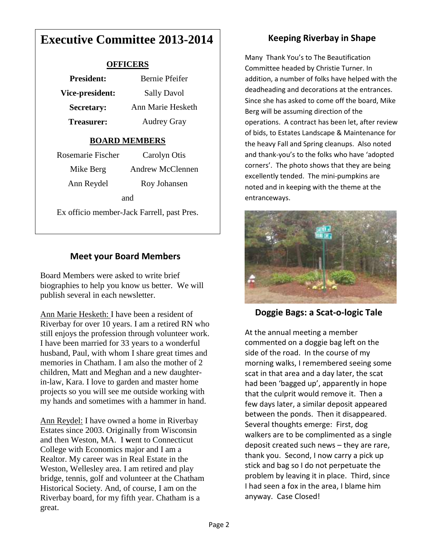# **Executive Committee 2013-2014**

#### **OFFICERS**

| <b>President:</b> | Bernie Pfeifer     |
|-------------------|--------------------|
| Vice-president:   | <b>Sally Davol</b> |
| <b>Secretary:</b> | Ann Marie Hesketh  |
| Treasurer:        | <b>Audrey Gray</b> |

#### **BOARD MEMBERS**

| Rosemarie Fischer                          | Carolyn Otis     |  |
|--------------------------------------------|------------------|--|
| Mike Berg                                  | Andrew McClennen |  |
| Ann Reydel                                 | Roy Johansen     |  |
| and                                        |                  |  |
| Ex officio member-Jack Farrell, past Pres. |                  |  |

### **Meet your Board Members**

Board Members were asked to write brief biographies to help you know us better. We will publish several in each newsletter.

Ann Marie Hesketh: I have been a resident of Riverbay for over 10 years. I am a retired RN who still enjoys the profession through volunteer work. I have been married for 33 years to a wonderful husband, Paul, with whom I share great times and memories in Chatham. I am also the mother of 2 children, Matt and Meghan and a new daughterin-law, Kara. I love to garden and master home projects so you will see me outside working with my hands and sometimes with a hammer in hand.

Ann Reydel: I have owned a home in Riverbay Estates since 2003. Originally from Wisconsin and then Weston, MA. I **w**ent to Connecticut College with Economics major and I am a Realtor. My career was in Real Estate in the Weston, Wellesley area. I am retired and play bridge, tennis, golf and volunteer at the Chatham Historical Society. And, of course, I am on the Riverbay board, for my fifth year. Chatham is a great.

## **Keeping Riverbay in Shape**

Many Thank You's to The Beautification Committee headed by Christie Turner. In addition, a number of folks have helped with the deadheading and decorations at the entrances. Since she has asked to come off the board, Mike Berg will be assuming direction of the operations. A contract has been let, after review of bids, to Estates Landscape & Maintenance for the heavy Fall and Spring cleanups. Also noted and thank-you's to the folks who have 'adopted corners'. The photo shows that they are being excellently tended. The mini-pumpkins are noted and in keeping with the theme at the entranceways.



**Doggie Bags: a Scat-o-logic Tale**

At the annual meeting a member commented on a doggie bag left on the side of the road. In the course of my morning walks, I remembered seeing some scat in that area and a day later, the scat had been 'bagged up', apparently in hope that the culprit would remove it. Then a few days later, a similar deposit appeared between the ponds. Then it disappeared. Several thoughts emerge: First, dog walkers are to be complimented as a single deposit created such news – they are rare, thank you. Second, I now carry a pick up stick and bag so I do not perpetuate the problem by leaving it in place. Third, since I had seen a fox in the area, I blame him anyway. Case Closed!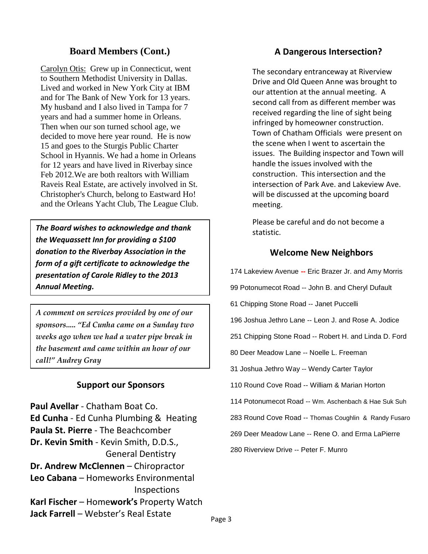### **Board Members (Cont.)**

Carolyn Otis: Grew up in Connecticut, went to Southern Methodist University in Dallas. Lived and worked in New York City at IBM and for The Bank of New York for 13 years. My husband and I also lived in Tampa for 7 years and had a summer home in Orleans. Then when our son turned school age, we decided to move here year round. He is now 15 and goes to the Sturgis Public Charter School in Hyannis. We had a home in Orleans for 12 years and have lived in Riverbay since Feb 2012.We are both realtors with William Raveis Real Estate, are actively involved in St. Christopher's Church, belong to Eastward Ho! and the Orleans Yacht Club, The League Club.

**The Board wishes to acknowledge and thank Finally stratistic. The Board wishes to acknowledge and thank** *the Wequassett Inn for providing a \$100 donation to the Riverbay Association in the form of a gift certificate to acknowledge the presentation of Carole Ridley to the 2013 Annual Meeting.*

*A comment on services provided by one of our sponsors..... "Ed Cunha came on a Sunday two weeks ago when we had a water pipe break in the basement and came within an hour of our call!" Audrey Gray*

#### **Support our Sponsors**

**Paul Avellar** - Chatham Boat Co. **Ed Cunha** - Ed Cunha Plumbing & Heating **Paula St. Pierre** - The Beachcomber **Dr. Kevin Smith** - Kevin Smith, D.D.S., General Dentistry **Dr. Andrew McClennen** – Chiropractor **Leo Cabana** – Homeworks Environmental Inspections **Karl Fischer** – Home**work's** Property Watch **Jack Farrell** – Webster's Real Estate

#### **A Dangerous Intersection?**

The secondary entranceway at Riverview Drive and Old Queen Anne was brought to our attention at the annual meeting. A second call from as different member was received regarding the line of sight being infringed by homeowner construction. Town of Chatham Officials were present on the scene when I went to ascertain the issues. The Building inspector and Town will handle the issues involved with the construction. This intersection and the intersection of Park Ave. and Lakeview Ave. will be discussed at the upcoming board meeting.

Please be careful and do not become a

#### **Welcome New Neighbors**

174 Lakeview Avenue **--** Eric Brazer Jr. and Amy Morris

99 Potonumecot Road -- John B. and Cheryl Dufault

61 Chipping Stone Road -- Janet Puccelli

196 Joshua Jethro Lane -- Leon J. and Rose A. Jodice

251 Chipping Stone Road -- Robert H. and Linda D. Ford

80 Deer Meadow Lane -- Noelle L. Freeman

31 Joshua Jethro Way -- Wendy Carter Taylor

110 Round Cove Road -- William & Marian Horton

114 Potonumecot Road -- Wm. Aschenbach & Hae Suk Suh

283 Round Cove Road -- Thomas Coughlin & Randy Fusaro

269 Deer Meadow Lane -- Rene O. and Erma LaPierre

280 Riverview Drive -- Peter F. Munro